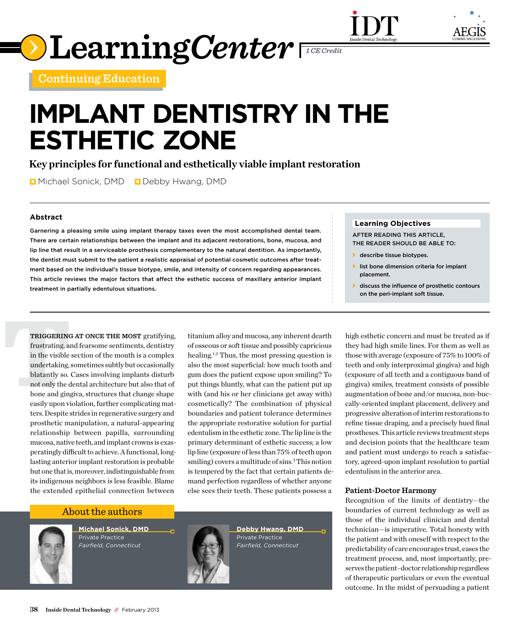



**Continuing Education**

# **Implant Dentistry in the Esthetic Zone**

**Key principles for functional and esthetically viable implant restoration**

**D** Michael Sonick, DMD D Debby Hwang, DMD

## **Abstract**

Garnering a pleasing smile using implant therapy taxes even the most accomplished dental team. There are certain relationships between the implant and its adjacent restorations, bone, mucosa, and lip line that result in a serviceable prosthesis complementary to the natural dentition. As importantly, the dentist must submit to the patient a realistic appraisal of potential cosmetic outcomes after treatment based on the individual's tissue biotype, smile, and intensity of concern regarding appearances. This article reviews the major factors that affect the esthetic success of maxillary anterior implant treatment in partially edentulous situations.

**TRIGGERING AT ONCE THE MOST** gratifying, titanium alloy and mucosa, any inherent dearth frustrating, and fearsome sentiments, dentistry of osseous or soft tissue and possibly capricious in the visible section of the mouth **Triggering at once the most** gratifying, frustrating, and fearsome sentiments, dentistry in the visible section of the mouth is a complex undertaking, sometimes subtly but occasionally blatantly so. Cases involving implants disturb not only the dental architecture but also that of bone and gingiva, structures that change shape easily upon violation, further complicating matters. Despite strides in regenerative surgery and prosthetic manipulation, a natural-appearing relationship between papilla, surrounding mucosa, native teeth, and implant crowns is exasperatingly difficult to achieve. A functional, longlasting anterior implant restoration is probable but one that is, moreover, indistinguishable from its indigenous neighbors is less feasible. Blame the extended epithelial connection between

of osseous or soft tissue and possibly capricious healing.1,2 Thus, the most pressing question is also the most superficial: how much tooth and gum does the patient expose upon smiling? To put things bluntly, what can the patient put up with (and his or her clinicians get away with) cosmetically? The combination of physical boundaries and patient tolerance determines the appropriate restorative solution for partial edentulism in the esthetic zone. The lip line is the primary determinant of esthetic success; a low lip line (exposure of less than 75% of teeth upon smiling) covers a multitude of sins.<sup>3</sup> This notion is tempered by the fact that certain patients demand perfection regardless of whether anyone else sees their teeth. These patients possess a

# About the authors



**Michael Sonick, DMD**  Private Practice *Fairfield, Connecticut* 



**Debby Hwang, DMD** Private Practice *Fairfield, Connecticut* 

### **Learning Objectives**

Inside Dental Technolo

After reading this article, the reader should be able to:

- **b** describe tissue biotypes.
- › list bone dimension criteria for implant placement.
- **I** discuss the influence of prosthetic contours on the peri-implant soft tissue.

high esthetic concern and must be treated as if they had high smile lines. For them as well as those with average (exposure of 75% to 100% of teeth and only interproximal gingiva) and high (exposure of all teeth and a contiguous band of gingiva) smiles, treatment consists of possible augmentation of bone and/or mucosa, non-buccally-oriented implant placement, delivery and progressive alteration of interim restorations to refine tissue draping, and a precisely hued final prostheses. This article reviews treatment steps and decision points that the healthcare team and patient must undergo to reach a satisfactory, agreed-upon implant resolution to partial edentulism in the anterior area.

#### **Patient-Doctor Harmony**

Recognition of the limits of dentistry—the boundaries of current technology as well as those of the individual clinician and dental technician—is imperative. Total honesty with the patient and with oneself with respect to the predictability of care encourages trust, eases the treatment process, and, most importantly, preserves the patient–doctor relationship regardless of therapeutic particulars or even the eventual outcome. In the midst of persuading a patient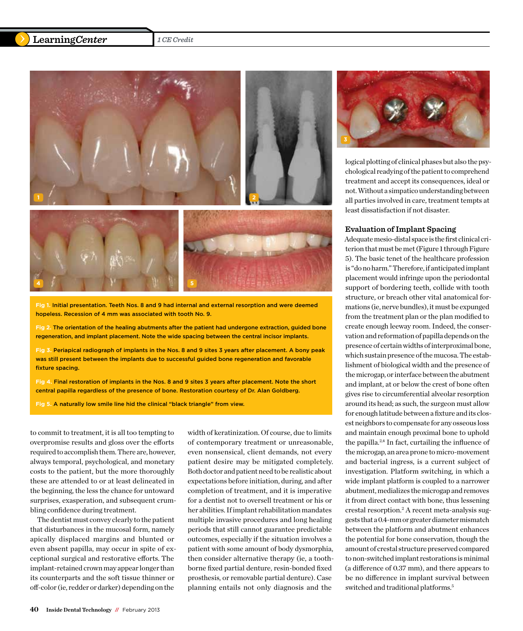# **LearningCenter** 1 CE Credit



**Fig 1.** Initial presentation. Teeth Nos. 8 and 9 had internal and external resorption and were deemed hopeless. Recession of 4 mm was associated with tooth No. 9.

**Fig 2.** The orientation of the healing abutments after the patient had undergone extraction, guided bone regeneration, and implant placement. Note the wide spacing between the central incisor implants.

**Fig 3.** Periapical radiograph of implants in the Nos. 8 and 9 sites 3 years after placement. A bony peak was still present between the implants due to successful guided bone regeneration and favorable fixture spacing.

**Fig 4.** Final restoration of implants in the Nos. 8 and 9 sites 3 years after placement. Note the short central papilla regardless of the presence of bone. Restoration courtesy of Dr. Alan Goldberg.

**Fig 5.** A naturally low smile line hid the clinical "black triangle" from view.

to commit to treatment, it is all too tempting to overpromise results and gloss over the efforts required to accomplish them. There are, however, always temporal, psychological, and monetary costs to the patient, but the more thoroughly these are attended to or at least delineated in the beginning, the less the chance for untoward surprises, exasperation, and subsequent crumbling confidence during treatment.

The dentist must convey clearly to the patient that disturbances in the mucosal form, namely apically displaced margins and blunted or even absent papilla, may occur in spite of exceptional surgical and restorative efforts. The implant-retained crown may appear longer than its counterparts and the soft tissue thinner or off-color (ie, redder or darker) depending on the

width of keratinization. Of course, due to limits of contemporary treatment or unreasonable, even nonsensical, client demands, not every patient desire may be mitigated completely. Both doctor and patient need to be realistic about expectations before initiation, during, and after completion of treatment, and it is imperative for a dentist not to oversell treatment or his or her abilities. If implant rehabilitation mandates multiple invasive procedures and long healing periods that still cannot guarantee predictable outcomes, especially if the situation involves a patient with some amount of body dysmorphia, then consider alternative therapy (ie, a toothborne fixed partial denture, resin-bonded fixed prosthesis, or removable partial denture). Case planning entails not only diagnosis and the



logical plotting of clinical phases but also the psychological readying of the patient to comprehend treatment and accept its consequences, ideal or not. Without a simpatico understanding between all parties involved in care, treatment tempts at least dissatisfaction if not disaster.

#### **Evaluation of Implant Spacing**

Adequate mesio-distal space is the first clinical criterion that must be met (Figure 1 through Figure 5). The basic tenet of the healthcare profession is "do no harm." Therefore, if anticipated implant placement would infringe upon the periodontal support of bordering teeth, collide with tooth structure, or breach other vital anatomical formations (ie, nerve bundles), it must be expunged from the treatment plan or the plan modified to create enough leeway room. Indeed, the conservation and reformation of papilla depends on the presence of certain widths of interproximal bone, which sustain presence of the mucosa. The establishment of biological width and the presence of the microgap, or interface between the abutment and implant, at or below the crest of bone often gives rise to circumferential alveolar resorption around its head; as such, the surgeon must allow for enough latitude between a fixture and its closest neighbors to compensate for any osseous loss and maintain enough proximal bone to uphold the papilla.2,4 In fact, curtailing the influence of the microgap, an area prone to micro-movement and bacterial ingress, is a current subject of investigation. Platform switching, in which a wide implant platform is coupled to a narrower abutment, medializes the microgap and removes it from direct contact with bone, thus lessening crestal resorption.2 A recent meta-analysis suggests that a 0.4-mm or greater diameter mismatch between the platform and abutment enhances the potential for bone conservation, though the amount of crestal structure preserved compared to non-switched implant restorations is minimal (a difference of 0.37 mm), and there appears to be no difference in implant survival between switched and traditional platforms.5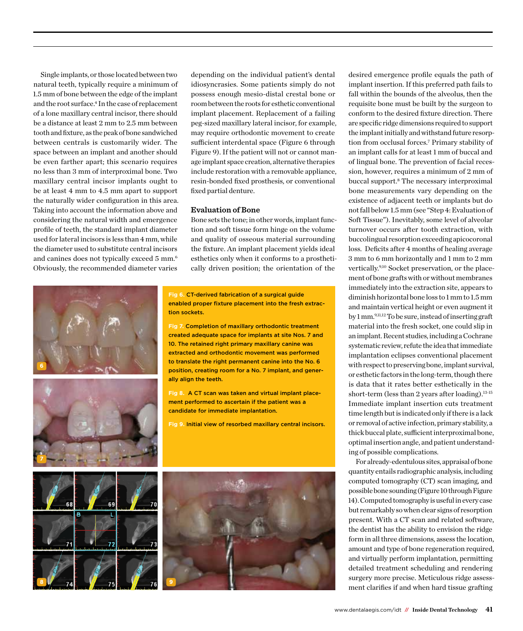Single implants, or those located between two natural teeth, typically require a minimum of 1.5 mm of bone between the edge of the implant and the root surface.<sup>4</sup> In the case of replacement of a lone maxillary central incisor, there should be a distance at least 2 mm to 2.5 mm between tooth and fixture, as the peak of bone sandwiched between centrals is customarily wider. The space between an implant and another should be even farther apart; this scenario requires no less than 3 mm of interproximal bone. Two maxillary central incisor implants ought to be at least 4 mm to 4.5 mm apart to support the naturally wider configuration in this area. Taking into account the information above and considering the natural width and emergence profile of teeth, the standard implant diameter used for lateral incisors is less than 4 mm, while the diameter used to substitute central incisors and canines does not typically exceed 5 mm.<sup>6</sup> Obviously, the recommended diameter varies

depending on the individual patient's dental idiosyncrasies. Some patients simply do not possess enough mesio-distal crestal bone or room between the roots for esthetic conventional implant placement. Replacement of a failing peg-sized maxillary lateral incisor, for example, may require orthodontic movement to create sufficient interdental space (Figure 6 through Figure 9). If the patient will not or cannot manage implant space creation, alternative therapies include restoration with a removable appliance, resin-bonded fixed prosthesis, or conventional fixed partial denture.

#### **Evaluation of Bone**

Bone sets the tone; in other words, implant function and soft tissue form hinge on the volume and quality of osseous material surrounding the fixture. An implant placement yields ideal esthetics only when it conforms to a prosthetically driven position; the orientation of the





**Fig 6.** CT-derived fabrication of a surgical guide enabled proper fixture placement into the fresh extraction sockets.

**Fig 7.** Completion of maxillary orthodontic treatment created adequate space for implants at site Nos. 7 and 10. The retained right primary maxillary canine was extracted and orthodontic movement was performed to translate the right permanent canine into the No. 6 position, creating room for a No. 7 implant, and generally align the teeth.

**Fig 8.** A CT scan was taken and virtual implant placement performed to ascertain if the patient was a candidate for immediate implantation.

**Fig 9.** Initial view of resorbed maxillary central incisors.



desired emergence profile equals the path of implant insertion. If this preferred path fails to fall within the bounds of the alveolus, then the requisite bone must be built by the surgeon to conform to the desired fixture direction. There are specific ridge dimensions required to support the implant initially and withstand future resorption from occlusal forces.7 Primary stability of an implant calls for at least 1 mm of buccal and of lingual bone. The prevention of facial recession, however, requires a minimum of 2 mm of buccal support.<sup>8</sup> The necessary interproximal bone measurements vary depending on the existence of adjacent teeth or implants but do not fall below 1.5 mm (see "Step 4: Evaluation of Soft Tissue"). Inevitably, some level of alveolar turnover occurs after tooth extraction, with buccolingual resorption exceeding apicocoronal loss. Deficits after 4 months of healing average 3 mm to 6 mm horizontally and 1 mm to 2 mm vertically.9,10 Socket preservation, or the placement of bone grafts with or without membranes immediately into the extraction site, appears to diminish horizontal bone loss to 1 mm to 1.5 mm and maintain vertical height or even augment it by 1 mm.9,11,12 To be sure, instead of inserting graft material into the fresh socket, one could slip in an implant. Recent studies, including a Cochrane systematic review, refute the idea that immediate implantation eclipses conventional placement with respect to preserving bone, implant survival, or esthetic factors in the long-term, though there is data that it rates better esthetically in the short-term (less than 2 years after loading). $13-15$ Immediate implant insertion cuts treatment time length but is indicated only if there is a lack or removal of active infection, primary stability, a thick buccal plate, sufficient interproximal bone, optimal insertion angle, and patient understanding of possible complications.

For already-edentulous sites, appraisal of bone quantity entails radiographic analysis, including computed tomography (CT) scan imaging, and possible bone sounding (Figure 10 through Figure 14). Computed tomography is useful in every case but remarkably so when clear signs of resorption present. With a CT scan and related software, the dentist has the ability to envision the ridge form in all three dimensions, assess the location, amount and type of bone regeneration required, and virtually perform implantation, permitting detailed treatment scheduling and rendering surgery more precise. Meticulous ridge assessment clarifies if and when hard tissue grafting

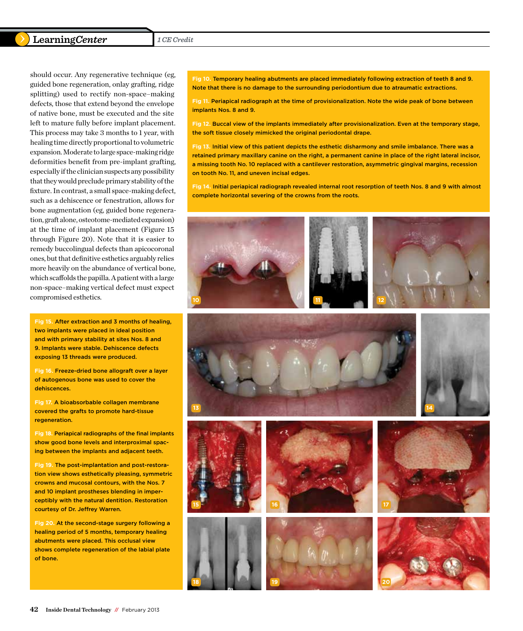## **Learning***Center* 1 CE Credit

should occur. Any regenerative technique (eg, guided bone regeneration, onlay grafting, ridge splitting) used to rectify non-space–making defects, those that extend beyond the envelope of native bone, must be executed and the site left to mature fully before implant placement. This process may take 3 months to 1 year, with healing time directly proportional to volumetric expansion. Moderate to large space-making ridge deformities benefit from pre-implant grafting, especially if the clinician suspects any possibility that they would preclude primary stability of the fixture. In contrast, a small space-making defect, such as a dehiscence or fenestration, allows for bone augmentation (eg, guided bone regeneration, graft alone, osteotome-mediated expansion) at the time of implant placement (Figure 15 through Figure 20). Note that it is easier to remedy buccolingual defects than apicocoronal ones, but that definitive esthetics arguably relies more heavily on the abundance of vertical bone, which scaffolds the papilla. A patient with a large non-space–making vertical defect must expect compromised esthetics.

**Fig 15.** After extraction and 3 months of healing, two implants were placed in ideal position and with primary stability at sites Nos. 8 and 9. Implants were stable. Dehiscence defects exposing 13 threads were produced.

**Fig 16.** Freeze-dried bone allograft over a layer of autogenous bone was used to cover the dehiscences.

**Fig 17.** A bioabsorbable collagen membrane covered the grafts to promote hard-tissue regeneration.

**Fig 18.** Periapical radiographs of the final implants show good bone levels and interproximal spacing between the implants and adjacent teeth.

**Fig 19.** The post-implantation and post-restoration view shows esthetically pleasing, symmetric crowns and mucosal contours, with the Nos. 7 and 10 implant prostheses blending in imperceptibly with the natural dentition. Restoration courtesy of Dr. Jeffrey Warren.

**15**

**18**

**Fig 20.** At the second-stage surgery following a healing period of 5 months, temporary healing abutments were placed. This occlusal view shows complete regeneration of the labial plate of bone.

**Fig 10.** Temporary healing abutments are placed immediately following extraction of teeth 8 and 9. Note that there is no damage to the surrounding periodontium due to atraumatic extractions.

**Fig 11.** Periapical radiograph at the time of provisionalization. Note the wide peak of bone between implants Nos. 8 and 9.

**Fig 12.** Buccal view of the implants immediately after provisionalization. Even at the temporary stage, the soft tissue closely mimicked the original periodontal drape.

**Fig 13.** Initial view of this patient depicts the esthetic disharmony and smile imbalance. There was a retained primary maxillary canine on the right, a permanent canine in place of the right lateral incisor, a missing tooth No. 10 replaced with a cantilever restoration, asymmetric gingival margins, recession on tooth No. 11, and uneven incisal edges.

**Fig 14.** Initial periapical radiograph revealed internal root resorption of teeth Nos. 8 and 9 with almost complete horizontal severing of the crowns from the roots.













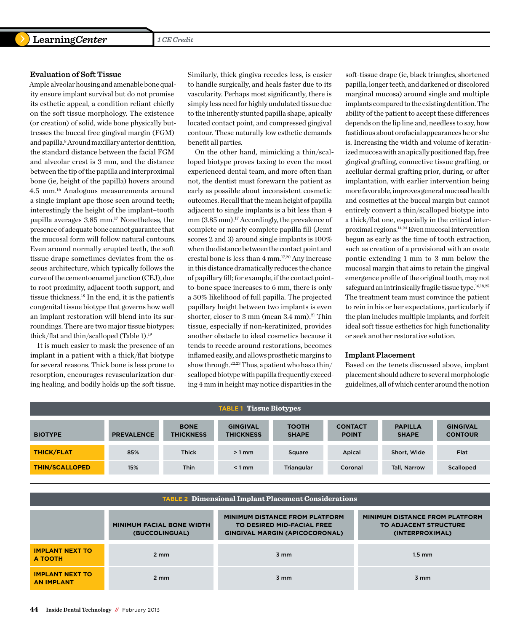#### **Evaluation of Soft Tissue**

Ample alveolar housing and amenable bone quality ensure implant survival but do not promise its esthetic appeal, a condition reliant chiefly on the soft tissue morphology. The existence (or creation) of solid, wide bone physically buttresses the buccal free gingival margin (FGM) and papilla.8 Around maxillary anterior dentition, the standard distance between the facial FGM and alveolar crest is 3 mm, and the distance between the tip of the papilla and interproximal bone (ie, height of the papilla) hovers around 4.5 mm.16 Analogous measurements around a single implant ape those seen around teeth; interestingly the height of the implant–tooth papilla averages 3.85 mm.17 Nonetheless, the presence of adequate bone cannot guarantee that the mucosal form will follow natural contours. Even around normally erupted teeth, the soft tissue drape sometimes deviates from the osseous architecture, which typically follows the curve of the cementoenamel junction (CEJ), due to root proximity, adjacent tooth support, and tissue thickness.18 In the end, it is the patient's congenital tissue biotype that governs how well an implant restoration will blend into its surroundings. There are two major tissue biotypes: thick/flat and thin/scalloped (Table 1).19

It is much easier to mask the presence of an implant in a patient with a thick/flat biotype for several reasons. Thick bone is less prone to resorption, encourages revascularization during healing, and bodily holds up the soft tissue.

Similarly, thick gingiva recedes less, is easier to handle surgically, and heals faster due to its vascularity. Perhaps most significantly, there is simply less need for highly undulated tissue due to the inherently stunted papilla shape, apically located contact point, and compressed gingival contour. These naturally low esthetic demands benefit all parties.

On the other hand, mimicking a thin/scalloped biotype proves taxing to even the most experienced dental team, and more often than not, the dentist must forewarn the patient as early as possible about inconsistent cosmetic outcomes. Recall that the mean height of papilla adjacent to single implants is a bit less than 4 mm (3.85 mm).<sup>17</sup> Accordingly, the prevalence of complete or nearly complete papilla fill (Jemt scores 2 and 3) around single implants is 100% when the distance between the contact point and crestal bone is less than 4 mm.17,20 Any increase in this distance dramatically reduces the chance of papillary fill; for example, if the contact pointto-bone space increases to 6 mm, there is only a 50% likelihood of full papilla. The projected papillary height between two implants is even shorter, closer to  $3 \text{ mm}$  (mean  $3.4 \text{ mm}$ ).<sup>21</sup> Thin tissue, especially if non-keratinized, provides another obstacle to ideal cosmetics because it tends to recede around restorations, becomes inflamed easily, and allows prosthetic margins to show through.<sup>22,23</sup> Thus, a patient who has a thin/ scalloped biotype with papilla frequently exceeding 4 mm in height may notice disparities in the

soft-tissue drape (ie, black triangles, shortened papilla, longer teeth, and darkened or discolored marginal mucosa) around single and multiple implants compared to the existing dentition. The ability of the patient to accept these differences depends on the lip line and, needless to say, how fastidious about orofacial appearances he or she is. Increasing the width and volume of keratinized mucosa with an apically positioned flap, free gingival grafting, connective tissue grafting, or acellular dermal grafting prior, during, or after implantation, with earlier intervention being more favorable, improves general mucosal health and cosmetics at the buccal margin but cannot entirely convert a thin/scalloped biotype into a thick/flat one, especially in the critical interproximal regions.14,24 Even mucosal intervention begun as early as the time of tooth extraction, such as creation of a provisional with an ovate pontic extending 1 mm to 3 mm below the mucosal margin that aims to retain the gingival emergence profile of the original tooth, may not safeguard an intrinsically fragile tissue type.<sup>16,18,25</sup> The treatment team must convince the patient to rein in his or her expectations, particularly if the plan includes multiple implants, and forfeit ideal soft tissue esthetics for high functionality or seek another restorative solution.

#### **Implant Placement**

Based on the tenets discussed above, implant placement should adhere to several morphologic guidelines, all of which center around the notion

| <b>TABLE 1 Tissue Biotypes</b> |                   |                                 |                                     |                              |                                |                                |                                   |  |
|--------------------------------|-------------------|---------------------------------|-------------------------------------|------------------------------|--------------------------------|--------------------------------|-----------------------------------|--|
| <b>BIOTYPE</b>                 | <b>PREVALENCE</b> | <b>BONE</b><br><b>THICKNESS</b> | <b>GINGIVAL</b><br><b>THICKNESS</b> | <b>TOOTH</b><br><b>SHAPE</b> | <b>CONTACT</b><br><b>POINT</b> | <b>PAPILLA</b><br><b>SHAPE</b> | <b>GINGIVAL</b><br><b>CONTOUR</b> |  |
| <b>THICK/FLAT</b>              | 85%               | <b>Thick</b>                    | $>1$ mm                             | Square                       | Apical                         | Short, Wide                    | Flat                              |  |
| <b>THIN/SCALLOPED</b>          | 15%               | <b>Thin</b>                     | $< 1$ mm                            | Triangular                   | Coronal                        | <b>Tall, Narrow</b>            | Scalloped                         |  |

| <b>TABLE 2 Dimensional Implant Placement Considerations</b> |                                                    |                                                                                                              |                                                                                          |  |  |  |  |
|-------------------------------------------------------------|----------------------------------------------------|--------------------------------------------------------------------------------------------------------------|------------------------------------------------------------------------------------------|--|--|--|--|
|                                                             | <b>MINIMUM FACIAL BONE WIDTH</b><br>(BUCCOLINGUAL) | <b>MINIMUM DISTANCE FROM PLATFORM</b><br>TO DESIRED MID-FACIAL FREE<br><b>GINGIVAL MARGIN (APICOCORONAL)</b> | <b>MINIMUM DISTANCE FROM PLATFORM</b><br><b>TO ADJACENT STRUCTURE</b><br>(INTERPROXIMAL) |  |  |  |  |
| <b>IMPLANT NEXT TO</b><br><b>A TOOTH</b>                    | $2 \, \text{mm}$                                   | 3 mm                                                                                                         | $1.5 \text{ mm}$                                                                         |  |  |  |  |
| <b>IMPLANT NEXT TO</b><br><b>AN IMPLANT</b>                 | $2 \, \text{mm}$                                   | $3 \, \text{mm}$                                                                                             | $3 \, \text{mm}$                                                                         |  |  |  |  |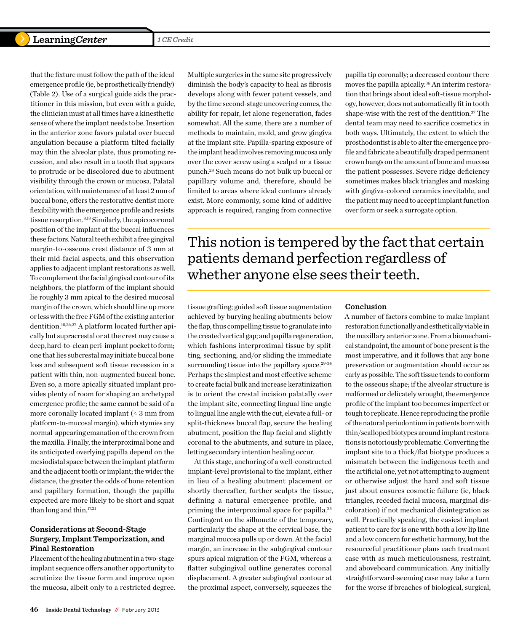that the fixture must follow the path of the ideal emergence profile (ie, be prosthetically friendly) (Table 2). Use of a surgical guide aids the practitioner in this mission, but even with a guide, the clinician must at all times have a kinesthetic sense of where the implant needs to be. Insertion in the anterior zone favors palatal over buccal angulation because a platform tilted facially may thin the alveolar plate, thus promoting recession, and also result in a tooth that appears to protrude or be discolored due to abutment visibility through the crown or mucosa. Palatal orientation, with maintenance of at least 2 mm of buccal bone, offers the restorative dentist more flexibility with the emergence profile and resists tissue resorption.8,18 Similarly, the apicocoronal position of the implant at the buccal influences these factors. Natural teeth exhibit a free gingival margin-to-osseous crest distance of 3 mm at their mid-facial aspects, and this observation applies to adjacent implant restorations as well. To complement the facial gingival contour of its neighbors, the platform of the implant should lie roughly 3 mm apical to the desired mucosal margin of the crown, which should line up more or less with the free FGM of the existing anterior dentition.18,26,27 A platform located further apically but supracrestal or at the crest may cause a deep, hard-to-clean peri-implant pocket to form; one that lies subcrestal may initiate buccal bone loss and subsequent soft tissue recession in a patient with thin, non-augmented buccal bone. Even so, a more apically situated implant provides plenty of room for shaping an archetypal emergence profile; the same cannot be said of a more coronally located implant (< 3 mm from platform-to-mucosal margin), which stymies any normal-appearing emanation of the crown from the maxilla. Finally, the interproximal bone and its anticipated overlying papilla depend on the mesiodistal space between the implant platform and the adjacent tooth or implant; the wider the distance, the greater the odds of bone retention and papillary formation, though the papilla expected are more likely to be short and squat than long and thin.<sup>17,21</sup>

## **Considerations at Second-Stage Surgery, Implant Temporization, and Final Restoration**

Placement of the healing abutment in a two-stage implant sequence offers another opportunity to scrutinize the tissue form and improve upon the mucosa, albeit only to a restricted degree. Multiple surgeries in the same site progressively diminish the body's capacity to heal as fibrosis develops along with fewer patent vessels, and by the time second-stage uncovering comes, the ability for repair, let alone regeneration, fades somewhat. All the same, there are a number of methods to maintain, mold, and grow gingiva at the implant site. Papilla-sparing exposure of the implant head involves removing mucosa only over the cover screw using a scalpel or a tissue punch.28 Such means do not bulk up buccal or papillary volume and, therefore, should be limited to areas where ideal contours already exist. More commonly, some kind of additive approach is required, ranging from connective papilla tip coronally; a decreased contour there moves the papilla apically.<sup>36</sup> An interim restoration that brings about ideal soft-tissue morphology, however, does not automatically fit in tooth shape-wise with the rest of the dentition.37 The dental team may need to sacrifice cosmetics in both ways. Ultimately, the extent to which the prosthodontist is able to alter the emergence profile and fabricate a beautifully draped permanent crown hangs on the amount of bone and mucosa the patient possesses. Severe ridge deficiency sometimes makes black triangles and masking with gingiva-colored ceramics inevitable, and the patient may need to accept implant function over form or seek a surrogate option.

This notion is tempered by the fact that certain patients demand perfection regardless of whether anyone else sees their teeth.

tissue grafting; guided soft tissue augmentation achieved by burying healing abutments below the flap, thus compelling tissue to granulate into the created vertical gap; and papilla regeneration, which fashions interproximal tissue by splitting, sectioning, and/or sliding the immediate surrounding tissue into the papillary space. $29-34$ Perhaps the simplest and most effective scheme to create facial bulk and increase keratinization is to orient the crestal incision palatally over the implant site, connecting lingual line angle to lingual line angle with the cut, elevate a full- or split-thickness buccal flap, secure the healing abutment, position the flap facial and slightly coronal to the abutments, and suture in place, letting secondary intention healing occur.

At this stage, anchoring of a well-constructed implant-level provisional to the implant, either in lieu of a healing abutment placement or shortly thereafter, further sculpts the tissue, defining a natural emergence profile, and priming the interproximal space for papilla.35 Contingent on the silhouette of the temporary, particularly the shape at the cervical base, the marginal mucosa pulls up or down. At the facial margin, an increase in the subgingival contour spurs apical migration of the FGM, whereas a flatter subgingival outline generates coronal displacement. A greater subgingival contour at the proximal aspect, conversely, squeezes the

#### **Conclusion**

A number of factors combine to make implant restoration functionally and esthetically viable in the maxillary anterior zone. From a biomechanical standpoint, the amount of bone present is the most imperative, and it follows that any bone preservation or augmentation should occur as early as possible. The soft tissue tends to conform to the osseous shape; if the alveolar structure is malformed or delicately wrought, the emergence profile of the implant too becomes imperfect or tough to replicate. Hence reproducing the profile of the natural periodontium in patients born with thin/scalloped biotypes around implant restorations is notoriously problematic. Converting the implant site to a thick/flat biotype produces a mismatch between the indigenous teeth and the artificial one, yet not attempting to augment or otherwise adjust the hard and soft tissue just about ensures cosmetic failure (ie, black triangles, receded facial mucosa, marginal discoloration) if not mechanical disintegration as well. Practically speaking, the easiest implant patient to care for is one with both a low lip line and a low concern for esthetic harmony, but the resourceful practitioner plans each treatment case with as much meticulousness, restraint, and aboveboard communication. Any initially straightforward-seeming case may take a turn for the worse if breaches of biological, surgical,